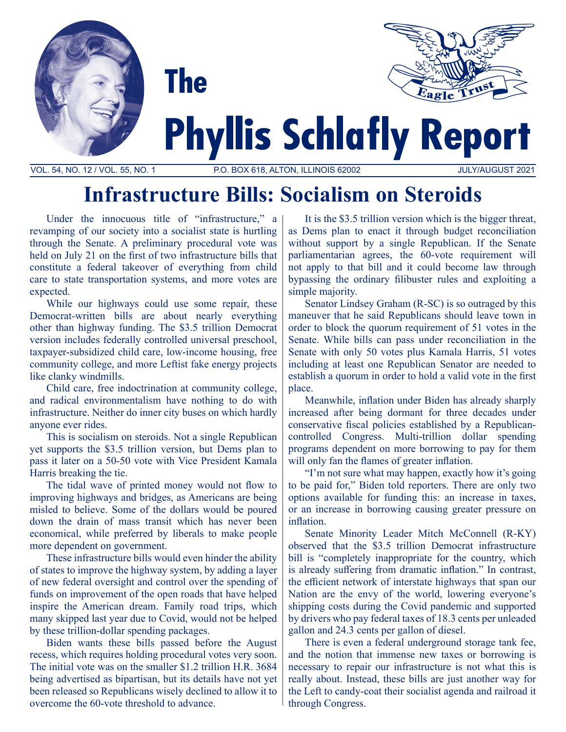



# **Phyllis Schlafly Report**

VOL. 54, NO. 12 / VOL. 55, NO. 1 P.O. BOX 618, ALTON, ILLINOIS 62002 JULY/AUGUST 2021

## **Infrastructure Bills: Socialism on Steroids**

Under the innocuous title of "infrastructure," a revamping of our society into a socialist state is hurtling through the Senate. A preliminary procedural vote was held on July 21 on the first of two infrastructure bills that constitute a federal takeover of everything from child care to state transportation systems, and more votes are expected.

**The** 

While our highways could use some repair, these Democrat-written bills are about nearly everything other than highway funding. The \$3.5 trillion Democrat version includes federally controlled universal preschool, taxpayer-subsidized child care, low-income housing, free community college, and more Leftist fake energy projects like clanky windmills.

Child care, free indoctrination at community college, and radical environmentalism have nothing to do with infrastructure. Neither do inner city buses on which hardly anyone ever rides.

This is socialism on steroids. Not a single Republican yet supports the \$3.5 trillion version, but Dems plan to pass it later on a 50-50 vote with Vice President Kamala Harris breaking the tie.

The tidal wave of printed money would not flow to improving highways and bridges, as Americans are being misled to believe. Some of the dollars would be poured down the drain of mass transit which has never been economical, while preferred by liberals to make people more dependent on government.

These infrastructure bills would even hinder the ability of states to improve the highway system, by adding a layer of new federal oversight and control over the spending of funds on improvement of the open roads that have helped inspire the American dream. Family road trips, which many skipped last year due to Covid, would not be helped by these trillion-dollar spending packages.

Biden wants these bills passed before the August recess, which requires holding procedural votes very soon. The initial vote was on the smaller \$1.2 trillion H.R. 3684 being advertised as bipartisan, but its details have not yet been released so Republicans wisely declined to allow it to overcome the 60-vote threshold to advance.

It is the \$3.5 trillion version which is the bigger threat, as Dems plan to enact it through budget reconciliation without support by a single Republican. If the Senate parliamentarian agrees, the 60-vote requirement will not apply to that bill and it could become law through bypassing the ordinary filibuster rules and exploiting a simple majority.

Senator Lindsey Graham (R-SC) is so outraged by this maneuver that he said Republicans should leave town in order to block the quorum requirement of 51 votes in the Senate. While bills can pass under reconciliation in the Senate with only 50 votes plus Kamala Harris, 51 votes including at least one Republican Senator are needed to establish a quorum in order to hold a valid vote in the first place.

Meanwhile, inflation under Biden has already sharply increased after being dormant for three decades under conservative fiscal policies established by a Republicancontrolled Congress. Multi-trillion dollar spending programs dependent on more borrowing to pay for them will only fan the flames of greater inflation.

"I'm not sure what may happen, exactly how it's going to be paid for," Biden told reporters. There are only two options available for funding this: an increase in taxes, or an increase in borrowing causing greater pressure on inflation.

Senate Minority Leader Mitch McConnell (R-KY) observed that the \$3.5 trillion Democrat infrastructure bill is "completely inappropriate for the country, which is already suffering from dramatic inflation." In contrast, the efficient network of interstate highways that span our Nation are the envy of the world, lowering everyone's shipping costs during the Covid pandemic and supported by drivers who pay federal taxes of 18.3 cents per unleaded gallon and 24.3 cents per gallon of diesel.

There is even a federal underground storage tank fee, and the notion that immense new taxes or borrowing is necessary to repair our infrastructure is not what this is really about. Instead, these bills are just another way for the Left to candy-coat their socialist agenda and railroad it through Congress.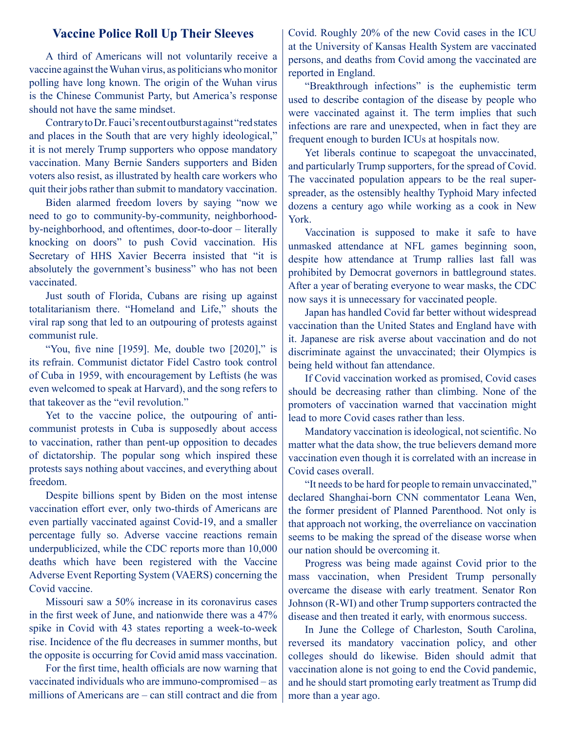#### **Vaccine Police Roll Up Their Sleeves**

A third of Americans will not voluntarily receive a vaccine against the Wuhan virus, as politicians who monitor polling have long known. The origin of the Wuhan virus is the Chinese Communist Party, but America's response should not have the same mindset.

Contrary to Dr. Fauci's recent outburst against "red states and places in the South that are very highly ideological," it is not merely Trump supporters who oppose mandatory vaccination. Many Bernie Sanders supporters and Biden voters also resist, as illustrated by health care workers who quit their jobs rather than submit to mandatory vaccination.

Biden alarmed freedom lovers by saying "now we need to go to community-by-community, neighborhoodby-neighborhood, and oftentimes, door-to-door – literally knocking on doors" to push Covid vaccination. His Secretary of HHS Xavier Becerra insisted that "it is absolutely the government's business" who has not been vaccinated.

Just south of Florida, Cubans are rising up against totalitarianism there. "Homeland and Life," shouts the viral rap song that led to an outpouring of protests against communist rule.

"You, five nine [1959]. Me, double two [2020]," is its refrain. Communist dictator Fidel Castro took control of Cuba in 1959, with encouragement by Leftists (he was even welcomed to speak at Harvard), and the song refers to that takeover as the "evil revolution."

Yet to the vaccine police, the outpouring of anticommunist protests in Cuba is supposedly about access to vaccination, rather than pent-up opposition to decades of dictatorship. The popular song which inspired these protests says nothing about vaccines, and everything about freedom.

Despite billions spent by Biden on the most intense vaccination effort ever, only two-thirds of Americans are even partially vaccinated against Covid-19, and a smaller percentage fully so. Adverse vaccine reactions remain underpublicized, while the CDC reports more than 10,000 deaths which have been registered with the Vaccine Adverse Event Reporting System (VAERS) concerning the Covid vaccine.

Missouri saw a 50% increase in its coronavirus cases in the first week of June, and nationwide there was a 47% spike in Covid with 43 states reporting a week-to-week rise. Incidence of the flu decreases in summer months, but the opposite is occurring for Covid amid mass vaccination.

For the first time, health officials are now warning that vaccinated individuals who are immuno-compromised – as millions of Americans are – can still contract and die from Covid. Roughly 20% of the new Covid cases in the ICU at the University of Kansas Health System are vaccinated persons, and deaths from Covid among the vaccinated are reported in England.

"Breakthrough infections" is the euphemistic term used to describe contagion of the disease by people who were vaccinated against it. The term implies that such infections are rare and unexpected, when in fact they are frequent enough to burden ICUs at hospitals now.

Yet liberals continue to scapegoat the unvaccinated, and particularly Trump supporters, for the spread of Covid. The vaccinated population appears to be the real superspreader, as the ostensibly healthy Typhoid Mary infected dozens a century ago while working as a cook in New York.

Vaccination is supposed to make it safe to have unmasked attendance at NFL games beginning soon, despite how attendance at Trump rallies last fall was prohibited by Democrat governors in battleground states. After a year of berating everyone to wear masks, the CDC now says it is unnecessary for vaccinated people.

Japan has handled Covid far better without widespread vaccination than the United States and England have with it. Japanese are risk averse about vaccination and do not discriminate against the unvaccinated; their Olympics is being held without fan attendance.

If Covid vaccination worked as promised, Covid cases should be decreasing rather than climbing. None of the promoters of vaccination warned that vaccination might lead to more Covid cases rather than less.

Mandatory vaccination is ideological, not scientific. No matter what the data show, the true believers demand more vaccination even though it is correlated with an increase in Covid cases overall.

"It needs to be hard for people to remain unvaccinated," declared Shanghai-born CNN commentator Leana Wen, the former president of Planned Parenthood. Not only is that approach not working, the overreliance on vaccination seems to be making the spread of the disease worse when our nation should be overcoming it.

Progress was being made against Covid prior to the mass vaccination, when President Trump personally overcame the disease with early treatment. Senator Ron Johnson (R-WI) and other Trump supporters contracted the disease and then treated it early, with enormous success.

In June the College of Charleston, South Carolina, reversed its mandatory vaccination policy, and other colleges should do likewise. Biden should admit that vaccination alone is not going to end the Covid pandemic, and he should start promoting early treatment as Trump did more than a year ago.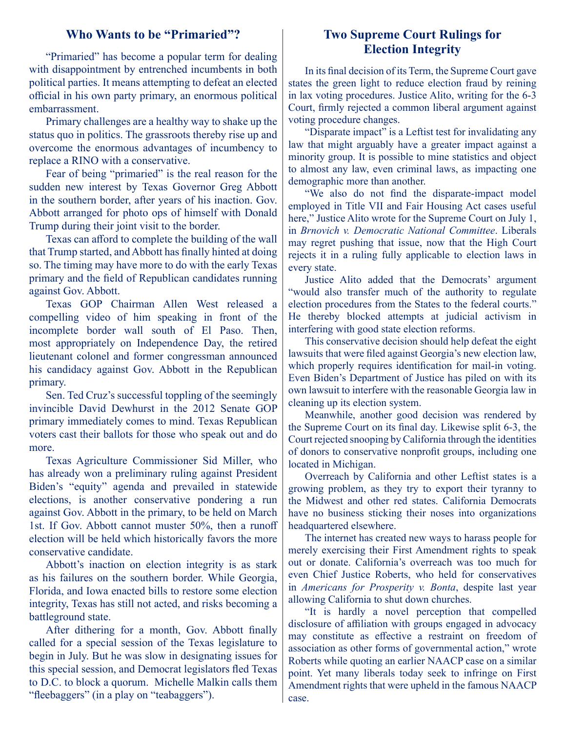#### **Who Wants to be "Primaried"?**

"Primaried" has become a popular term for dealing with disappointment by entrenched incumbents in both political parties. It means attempting to defeat an elected official in his own party primary, an enormous political embarrassment.

Primary challenges are a healthy way to shake up the status quo in politics. The grassroots thereby rise up and overcome the enormous advantages of incumbency to replace a RINO with a conservative.

Fear of being "primaried" is the real reason for the sudden new interest by Texas Governor Greg Abbott in the southern border, after years of his inaction. Gov. Abbott arranged for photo ops of himself with Donald Trump during their joint visit to the border.

Texas can afford to complete the building of the wall that Trump started, and Abbott has finally hinted at doing so. The timing may have more to do with the early Texas primary and the field of Republican candidates running against Gov. Abbott.

Texas GOP Chairman Allen West released a compelling video of him speaking in front of the incomplete border wall south of El Paso. Then, most appropriately on Independence Day, the retired lieutenant colonel and former congressman announced his candidacy against Gov. Abbott in the Republican primary.

Sen. Ted Cruz's successful toppling of the seemingly invincible David Dewhurst in the 2012 Senate GOP primary immediately comes to mind. Texas Republican voters cast their ballots for those who speak out and do more.

Texas Agriculture Commissioner Sid Miller, who has already won a preliminary ruling against President Biden's "equity" agenda and prevailed in statewide elections, is another conservative pondering a run against Gov. Abbott in the primary, to be held on March 1st. If Gov. Abbott cannot muster 50%, then a runoff election will be held which historically favors the more conservative candidate.

Abbott's inaction on election integrity is as stark as his failures on the southern border. While Georgia, Florida, and Iowa enacted bills to restore some election integrity, Texas has still not acted, and risks becoming a battleground state.

After dithering for a month, Gov. Abbott finally called for a special session of the Texas legislature to begin in July. But he was slow in designating issues for this special session, and Democrat legislators fled Texas to D.C. to block a quorum. Michelle Malkin calls them "fleebaggers" (in a play on "teabaggers").

### **Two Supreme Court Rulings for Election Integrity**

In its final decision of its Term, the Supreme Court gave states the green light to reduce election fraud by reining in lax voting procedures. Justice Alito, writing for the 6-3 Court, firmly rejected a common liberal argument against voting procedure changes.

"Disparate impact" is a Leftist test for invalidating any law that might arguably have a greater impact against a minority group. It is possible to mine statistics and object to almost any law, even criminal laws, as impacting one demographic more than another.

"We also do not find the disparate-impact model employed in Title VII and Fair Housing Act cases useful here," Justice Alito wrote for the Supreme Court on July 1, in *Brnovich v. Democratic National Committee*. Liberals may regret pushing that issue, now that the High Court rejects it in a ruling fully applicable to election laws in every state.

Justice Alito added that the Democrats' argument "would also transfer much of the authority to regulate election procedures from the States to the federal courts." He thereby blocked attempts at judicial activism in interfering with good state election reforms.

This conservative decision should help defeat the eight lawsuits that were filed against Georgia's new election law, which properly requires identification for mail-in voting. Even Biden's Department of Justice has piled on with its own lawsuit to interfere with the reasonable Georgia law in cleaning up its election system.

Meanwhile, another good decision was rendered by the Supreme Court on its final day. Likewise split 6-3, the Court rejected snooping by California through the identities of donors to conservative nonprofit groups, including one located in Michigan.

Overreach by California and other Leftist states is a growing problem, as they try to export their tyranny to the Midwest and other red states. California Democrats have no business sticking their noses into organizations headquartered elsewhere.

The internet has created new ways to harass people for merely exercising their First Amendment rights to speak out or donate. California's overreach was too much for even Chief Justice Roberts, who held for conservatives in *Americans for Prosperity v. Bonta*, despite last year allowing California to shut down churches.

"It is hardly a novel perception that compelled disclosure of affiliation with groups engaged in advocacy may constitute as effective a restraint on freedom of association as other forms of governmental action," wrote Roberts while quoting an earlier NAACP case on a similar point. Yet many liberals today seek to infringe on First Amendment rights that were upheld in the famous NAACP case.